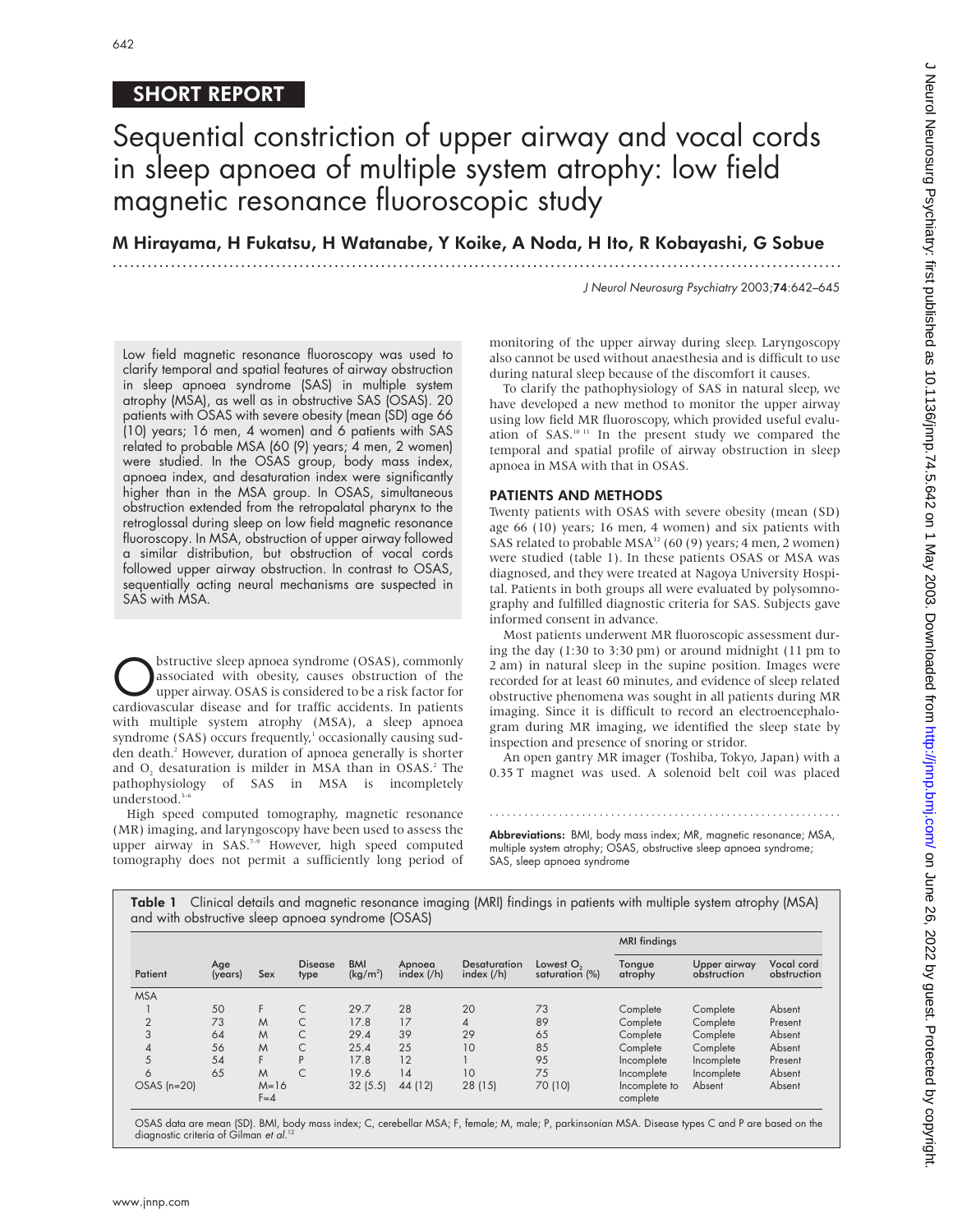## SHORT REPORT

# Sequential constriction of upper airway and vocal cords in sleep apnoea of multiple system atrophy: low field magnetic resonance fluoroscopic study

M Hirayama, H Fukatsu, H Watanabe, Y Koike, A Noda, H Ito, R Kobayashi, G Sobue

.............................................................................................................................

J Neurol Neurosurg Psychiatry 2003;74:642–645

Low field magnetic resonance fluoroscopy was used to clarify temporal and spatial features of airway obstruction in sleep apnoea syndrome (SAS) in multiple system atrophy (MSA), as well as in obstructive SAS (OSAS). 20 patients with OSAS with severe obesity (mean (SD) age 66 (10) years; 16 men, 4 women) and 6 patients with SAS related to probable MSA (60 (9) years; 4 men, 2 women) were studied. In the OSAS group, body mass index, apnoea index, and desaturation index were significantly higher than in the MSA group. In OSAS, simultaneous obstruction extended from the retropalatal pharynx to the retroglossal during sleep on low field magnetic resonance fluoroscopy. In MSA, obstruction of upper airway followed a similar distribution, but obstruction of vocal cords followed upper airway obstruction. In contrast to OSAS, sequentially acting neural mechanisms are suspected in SAS with MSA.

**Obstructive sleep apnoea syndrome (OSAS), commonly**<br>associated with obesity, causes obstruction of the<br>upper airway. OSAS is considered to be a risk factor for<br>cardiovascular disease and for traffic accidents. In patients associated with obesity, causes obstruction of the cardiovascular disease and for traffic accidents. In patients with multiple system atrophy (MSA), a sleep apnoea syndrome (SAS) occurs frequently,<sup>1</sup> occasionally causing sudden death.<sup>2</sup> However, duration of apnoea generally is shorter and O<sub>2</sub> desaturation is milder in MSA than in OSAS.<sup>2</sup> The pathophysiology of SAS in MSA is incompletely understood. $3-6$ 

High speed computed tomography, magnetic resonance (MR) imaging, and laryngoscopy have been used to assess the upper airway in SAS.<sup>7-9</sup> However, high speed computed tomography does not permit a sufficiently long period of monitoring of the upper airway during sleep. Laryngoscopy also cannot be used without anaesthesia and is difficult to use during natural sleep because of the discomfort it causes.

To clarify the pathophysiology of SAS in natural sleep, we have developed a new method to monitor the upper airway using low field MR fluoroscopy, which provided useful evaluation of SAS.10 11 In the present study we compared the temporal and spatial profile of airway obstruction in sleep apnoea in MSA with that in OSAS.

#### PATIENTS AND METHODS

Twenty patients with OSAS with severe obesity (mean (SD) age 66 (10) years; 16 men, 4 women) and six patients with SAS related to probable  $MSA^{12}$  (60 (9) years; 4 men, 2 women) were studied (table 1). In these patients OSAS or MSA was diagnosed, and they were treated at Nagoya University Hospital. Patients in both groups all were evaluated by polysomnography and fulfilled diagnostic criteria for SAS. Subjects gave informed consent in advance.

Most patients underwent MR fluoroscopic assessment during the day (1:30 to 3:30 pm) or around midnight (11 pm to 2 am) in natural sleep in the supine position. Images were recorded for at least 60 minutes, and evidence of sleep related obstructive phenomena was sought in all patients during MR imaging. Since it is difficult to record an electroencephalogram during MR imaging, we identified the sleep state by inspection and presence of snoring or stridor.

An open gantry MR imager (Toshiba, Tokyo, Japan) with a 0.35 T magnet was used. A solenoid belt coil was placed

Abbreviations: BMI, body mass index; MR, magnetic resonance; MSA, multiple system atrophy; OSAS, obstructive sleep apnoea syndrome; SAS, sleep apnoea syndrome

.............................................................

| Patient        | Age<br>(years) | Sex               | <b>Disease</b><br>type | <b>BMI</b><br>(kg/m <sup>2</sup> ) | Apnoea<br>index $\frac{1}{h}$ | <b>Desaturation</b><br>index $\frac{1}{h}$ | Lowest O <sub>2</sub><br>saturation $(\%)$ | <b>MRI</b> findings       |                             |                           |
|----------------|----------------|-------------------|------------------------|------------------------------------|-------------------------------|--------------------------------------------|--------------------------------------------|---------------------------|-----------------------------|---------------------------|
|                |                |                   |                        |                                    |                               |                                            |                                            | Tongue<br>atrophy         | Upper airway<br>obstruction | Vocal cord<br>obstruction |
| <b>MSA</b>     |                |                   |                        |                                    |                               |                                            |                                            |                           |                             |                           |
|                | 50             | F                 | C                      | 29.7                               | 28                            | 20                                         | 73                                         | Complete                  | Complete                    | Absent                    |
| $\overline{2}$ | 73             | M                 | C                      | 17.8                               | 17                            | 4                                          | 89                                         | Complete                  | Complete                    | Present                   |
| 3              | 64             | M                 | C                      | 29.4                               | 39                            | 29                                         | 65                                         | Complete                  | Complete                    | Absent                    |
| 4              | 56             | M                 | C                      | 25.4                               | 25                            | 10                                         | 85                                         | Complete                  | Complete                    | Absent                    |
| 5              | 54             | F                 | P                      | 17.8                               | 12                            |                                            | 95                                         | Incomplete                | Incomplete                  | Present                   |
| 6              | 65             | M                 | Ċ                      | 19.6                               | 14                            | 10                                         | 75                                         | Incomplete                | Incomplete                  | Absent                    |
| $OSAS$ (n=20)  |                | $M=16$<br>$F = 4$ |                        | 32(5.5)                            | 44 (12)                       | 28 (15)                                    | 70 (10)                                    | Incomplete to<br>complete | Absent                      | Absent                    |

OSAS data are mean (SD). BMI, body mass index; C, cerebellar MSA; F, female; M, male; P, parkinsonian MSA. Disease types C and P are based on the diagnostic criteria of Gilman *et al*.12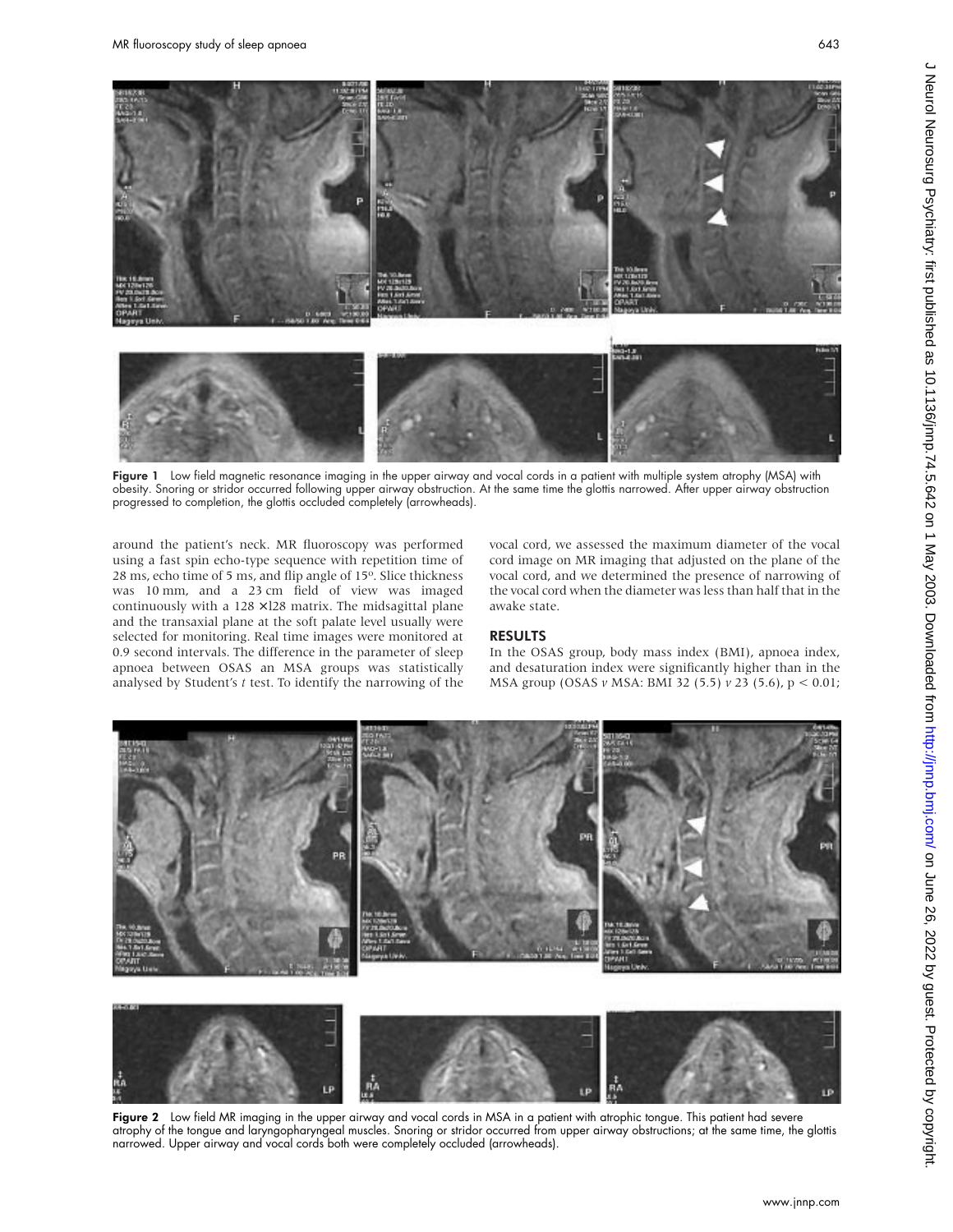

Figure 1 Low field magnetic resonance imaging in the upper airway and vocal cords in a patient with multiple system atrophy (MSA) with obesity. Snoring or stridor occurred following upper airway obstruction. At the same time the glottis narrowed. After upper airway obstruction progressed to completion, the glottis occluded completely (arrowheads).

around the patient's neck. MR fluoroscopy was performed using a fast spin echo-type sequence with repetition time of 28 ms, echo time of 5 ms, and flip angle of 15º. Slice thickness was 10 mm, and a 23 cm field of view was imaged continuously with a  $128 \times 128$  matrix. The midsagittal plane and the transaxial plane at the soft palate level usually were selected for monitoring. Real time images were monitored at 0.9 second intervals. The difference in the parameter of sleep apnoea between OSAS an MSA groups was statistically analysed by Student's *t* test. To identify the narrowing of the

vocal cord, we assessed the maximum diameter of the vocal cord image on MR imaging that adjusted on the plane of the vocal cord, and we determined the presence of narrowing of the vocal cord when the diameter was less than half that in the awake state.

#### RESULTS

In the OSAS group, body mass index (BMI), apnoea index, and desaturation index were significantly higher than in the MSA group (OSAS *v* MSA: BMI 32 (5.5) *v* 23 (5.6), p < 0.01;



Figure 2 Low field MR imaging in the upper airway and vocal cords in MSA in a patient with atrophic tongue. This patient had severe atrophy of the tongue and laryngopharyngeal muscles. Snoring or stridor occurred from upper airway obstructions; at the same time, the glottis narrowed. Upper airway and vocal cords both were completely occluded (arrowheads).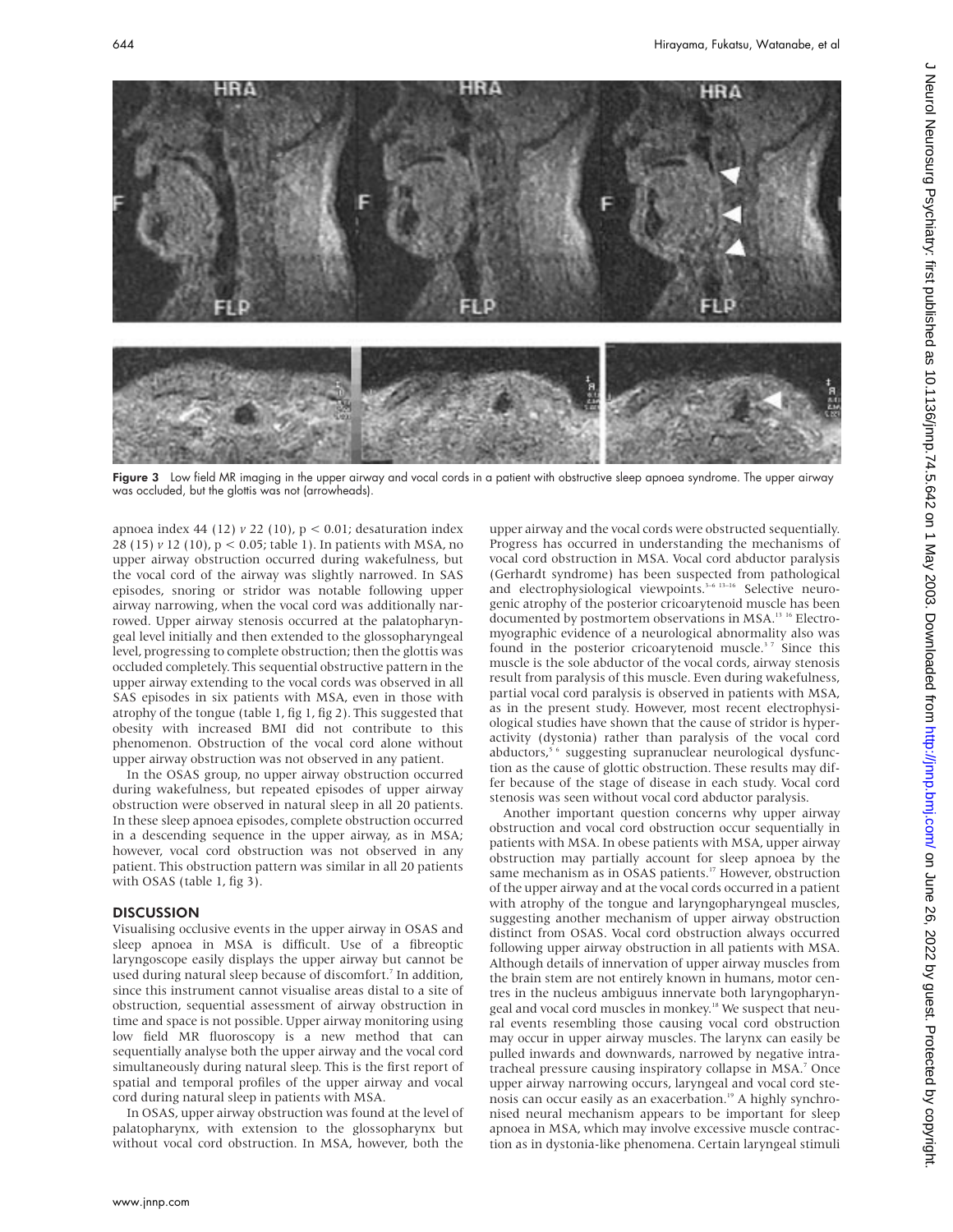

Figure 3 Low field MR imaging in the upper airway and vocal cords in a patient with obstructive sleep apnoea syndrome. The upper airway was occluded, but the glottis was not (arrowheads).

apnoea index 44 (12) *v* 22 (10), p < 0.01; desaturation index 28 (15) *v* 12 (10), p < 0.05; table 1). In patients with MSA, no upper airway obstruction occurred during wakefulness, but the vocal cord of the airway was slightly narrowed. In SAS episodes, snoring or stridor was notable following upper airway narrowing, when the vocal cord was additionally narrowed. Upper airway stenosis occurred at the palatopharyngeal level initially and then extended to the glossopharyngeal level, progressing to complete obstruction; then the glottis was occluded completely. This sequential obstructive pattern in the upper airway extending to the vocal cords was observed in all SAS episodes in six patients with MSA, even in those with atrophy of the tongue (table 1, fig 1, fig 2). This suggested that obesity with increased BMI did not contribute to this phenomenon. Obstruction of the vocal cord alone without upper airway obstruction was not observed in any patient.

In the OSAS group, no upper airway obstruction occurred during wakefulness, but repeated episodes of upper airway obstruction were observed in natural sleep in all 20 patients. In these sleep apnoea episodes, complete obstruction occurred in a descending sequence in the upper airway, as in MSA; however, vocal cord obstruction was not observed in any patient. This obstruction pattern was similar in all 20 patients with OSAS (table 1, fig 3).

#### **DISCUSSION**

Visualising occlusive events in the upper airway in OSAS and sleep apnoea in MSA is difficult. Use of a fibreoptic laryngoscope easily displays the upper airway but cannot be used during natural sleep because of discomfort.<sup>7</sup> In addition, since this instrument cannot visualise areas distal to a site of obstruction, sequential assessment of airway obstruction in time and space is not possible. Upper airway monitoring using low field MR fluoroscopy is a new method that can sequentially analyse both the upper airway and the vocal cord simultaneously during natural sleep. This is the first report of spatial and temporal profiles of the upper airway and vocal cord during natural sleep in patients with MSA.

In OSAS, upper airway obstruction was found at the level of palatopharynx, with extension to the glossopharynx but without vocal cord obstruction. In MSA, however, both the upper airway and the vocal cords were obstructed sequentially. Progress has occurred in understanding the mechanisms of vocal cord obstruction in MSA. Vocal cord abductor paralysis (Gerhardt syndrome) has been suspected from pathological and electrophysiological viewpoints.<sup>3-6 13-16</sup> Selective neurogenic atrophy of the posterior cricoarytenoid muscle has been documented by postmortem observations in MSA.<sup>13 16</sup> Electromyographic evidence of a neurological abnormality also was found in the posterior cricoarytenoid muscle.<sup>37</sup> Since this muscle is the sole abductor of the vocal cords, airway stenosis result from paralysis of this muscle. Even during wakefulness, partial vocal cord paralysis is observed in patients with MSA, as in the present study. However, most recent electrophysiological studies have shown that the cause of stridor is hyperactivity (dystonia) rather than paralysis of the vocal cord abductors,<sup>56</sup> suggesting supranuclear neurological dysfunction as the cause of glottic obstruction. These results may differ because of the stage of disease in each study. Vocal cord stenosis was seen without vocal cord abductor paralysis.

Another important question concerns why upper airway obstruction and vocal cord obstruction occur sequentially in patients with MSA. In obese patients with MSA, upper airway obstruction may partially account for sleep apnoea by the same mechanism as in OSAS patients.<sup>17</sup> However, obstruction of the upper airway and at the vocal cords occurred in a patient with atrophy of the tongue and laryngopharyngeal muscles, suggesting another mechanism of upper airway obstruction distinct from OSAS. Vocal cord obstruction always occurred following upper airway obstruction in all patients with MSA. Although details of innervation of upper airway muscles from the brain stem are not entirely known in humans, motor centres in the nucleus ambiguus innervate both laryngopharyngeal and vocal cord muscles in monkey.<sup>18</sup> We suspect that neural events resembling those causing vocal cord obstruction may occur in upper airway muscles. The larynx can easily be pulled inwards and downwards, narrowed by negative intratracheal pressure causing inspiratory collapse in MSA.<sup>7</sup> Once upper airway narrowing occurs, laryngeal and vocal cord stenosis can occur easily as an exacerbation.<sup>19</sup> A highly synchronised neural mechanism appears to be important for sleep apnoea in MSA, which may involve excessive muscle contraction as in dystonia-like phenomena. Certain laryngeal stimuli